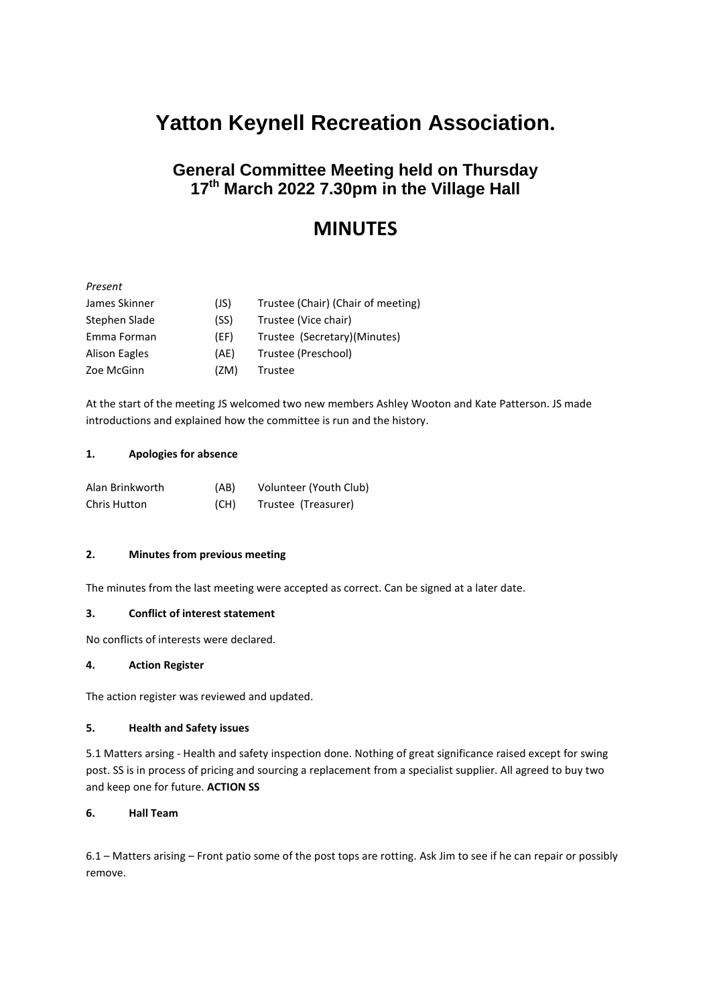# **Yatton Keynell Recreation Association.**

# **General Committee Meeting held on Thursday 17th March 2022 7.30pm in the Village Hall**

# **MINUTES**

# *Present*

| James Skinner        | (JS) | Trustee (Chair) (Chair of meeting) |
|----------------------|------|------------------------------------|
| Stephen Slade        | (SS) | Trustee (Vice chair)               |
| Emma Forman          | (EF) | Trustee (Secretary)(Minutes)       |
| <b>Alison Eagles</b> | (AE) | Trustee (Preschool)                |
| Zoe McGinn           | (ZM) | Trustee                            |

At the start of the meeting JS welcomed two new members Ashley Wooton and Kate Patterson. JS made introductions and explained how the committee is run and the history.

#### **1. Apologies for absence**

| Alan Brinkworth | (AB) | Volunteer (Youth Club) |
|-----------------|------|------------------------|
| Chris Hutton    | (CH) | Trustee (Treasurer)    |

## **2. Minutes from previous meeting**

The minutes from the last meeting were accepted as correct. Can be signed at a later date.

## **3. Conflict of interest statement**

No conflicts of interests were declared.

#### **4. Action Register**

The action register was reviewed and updated.

#### **5. Health and Safety issues**

5.1 Matters arsing - Health and safety inspection done. Nothing of great significance raised except for swing post. SS is in process of pricing and sourcing a replacement from a specialist supplier. All agreed to buy two and keep one for future. **ACTION SS**

## **6. Hall Team**

6.1 – Matters arising – Front patio some of the post tops are rotting. Ask Jim to see if he can repair or possibly remove.